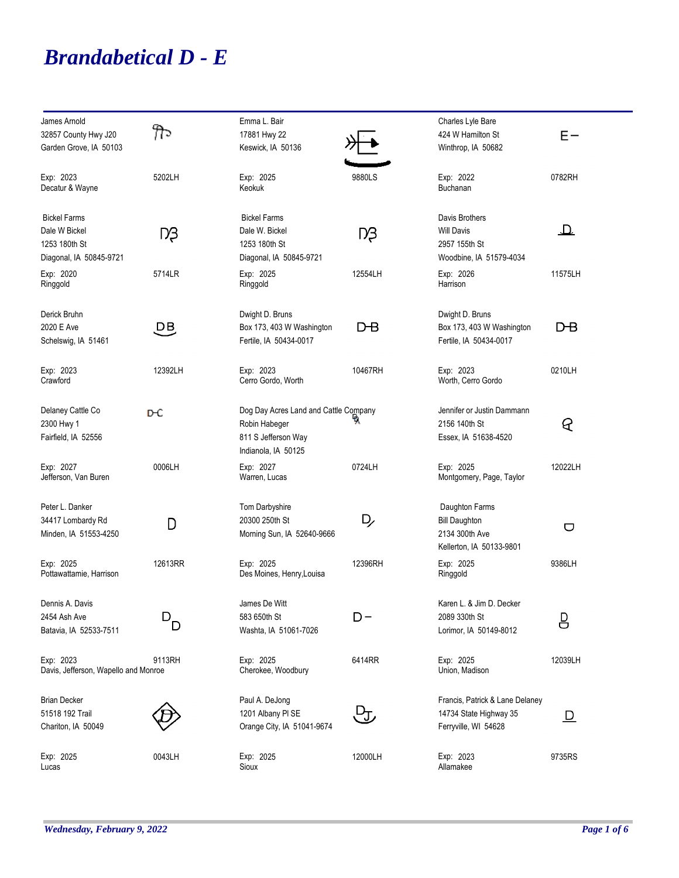## *Brandabetical D - E*

| James Arnold<br>32857 County Hwy J20<br>Garden Grove, IA 50103                   | ᡃᡍ᠗     | Emma L. Bair<br>17881 Hwy 22<br>Keswick, IA 50136                                                    |         | Charles Lyle Bare<br>424 W Hamilton St<br>Winthrop, IA 50682                         | $E -$             |
|----------------------------------------------------------------------------------|---------|------------------------------------------------------------------------------------------------------|---------|--------------------------------------------------------------------------------------|-------------------|
| Exp: 2023<br>Decatur & Wayne                                                     | 5202LH  | Exp: 2025<br>Keokuk                                                                                  | 9880LS  | Exp: 2022<br><b>Buchanan</b>                                                         | 0782RH            |
| <b>Bickel Farms</b><br>Dale W Bickel<br>1253 180th St<br>Diagonal, IA 50845-9721 | Dβ      | <b>Bickel Farms</b><br>Dale W. Bickel<br>1253 180th St<br>Diagonal, IA 50845-9721                    | Dβ      | Davis Brothers<br><b>Will Davis</b><br>2957 155th St<br>Woodbine, IA 51579-4034      | $\mathbf{\Omega}$ |
| Exp: 2020<br>Ringgold                                                            | 5714LR  | Exp: 2025<br>Ringgold                                                                                | 12554LH | Exp: 2026<br>Harrison                                                                | 11575LH           |
| Derick Bruhn<br>2020 E Ave<br>Schelswig, IA 51461                                | 먣       | Dwight D. Bruns<br>Box 173, 403 W Washington<br>Fertile, IA 50434-0017                               | D-В     | Dwight D. Bruns<br>Box 173, 403 W Washington<br>Fertile, IA 50434-0017               | DB                |
| Exp: 2023<br>Crawford                                                            | 12392LH | Exp: 2023<br>Cerro Gordo, Worth                                                                      | 10467RH | Exp: 2023<br>Worth, Cerro Gordo                                                      | 0210LH            |
| Delaney Cattle Co<br>2300 Hwy 1<br>Fairfield, IA 52556                           | DЮ      | Dog Day Acres Land and Cattle Company<br>Robin Habeger<br>811 S Jefferson Way<br>Indianola, IA 50125 |         | Jennifer or Justin Dammann<br>2156 140th St<br>Essex, IA 51638-4520                  | ୧                 |
| Exp: 2027<br>Jefferson, Van Buren                                                | 0006LH  | Exp: 2027<br>Warren, Lucas                                                                           | 0724LH  | Exp: 2025<br>Montgomery, Page, Taylor                                                | 12022LH           |
| Peter L. Danker<br>34417 Lombardy Rd<br>Minden, IA 51553-4250                    | D       | Tom Darbyshire<br>20300 250th St<br>Morning Sun, IA 52640-9666                                       | D,      | Daughton Farms<br><b>Bill Daughton</b><br>2134 300th Ave<br>Kellerton, IA 50133-9801 | $\bigcup$         |
| Exp: 2025<br>Pottawattamie, Harrison                                             | 12613RR | Exp: 2025<br>Des Moines, Henry, Louisa                                                               | 12396RH | Exp: 2025<br>Ringgold                                                                | 9386LH            |
| Dennis A. Davis<br>2454 Ash Ave<br>Batavia, IA 52533-7511                        | D.<br>D | James De Witt<br>583 650th St<br>Washta, IA 51061-7026                                               | $D -$   | Karen L. & Jim D. Decker<br>2089 330th St<br>Lorimor, IA 50149-8012                  | <u>밍</u>          |
| Exp: 2023<br>Davis, Jefferson, Wapello and Monroe                                | 9113RH  | Exp: 2025<br>Cherokee, Woodbury                                                                      | 6414RR  | Exp: 2025<br>Union, Madison                                                          | 12039LH           |
| <b>Brian Decker</b><br>51518 192 Trail<br>Chariton, IA 50049                     |         | Paul A. DeJong<br>1201 Albany PI SE<br>Orange City, IA 51041-9674                                    | ᡶᡃᡁ     | Francis, Patrick & Lane Delaney<br>14734 State Highway 35<br>Ferryville, WI 54628    | <u>D</u>          |
| Exp: 2025<br>Lucas                                                               | 0043LH  | Exp: 2025<br>Sioux                                                                                   | 12000LH | Exp: 2023<br>Allamakee                                                               | 9735RS            |

۰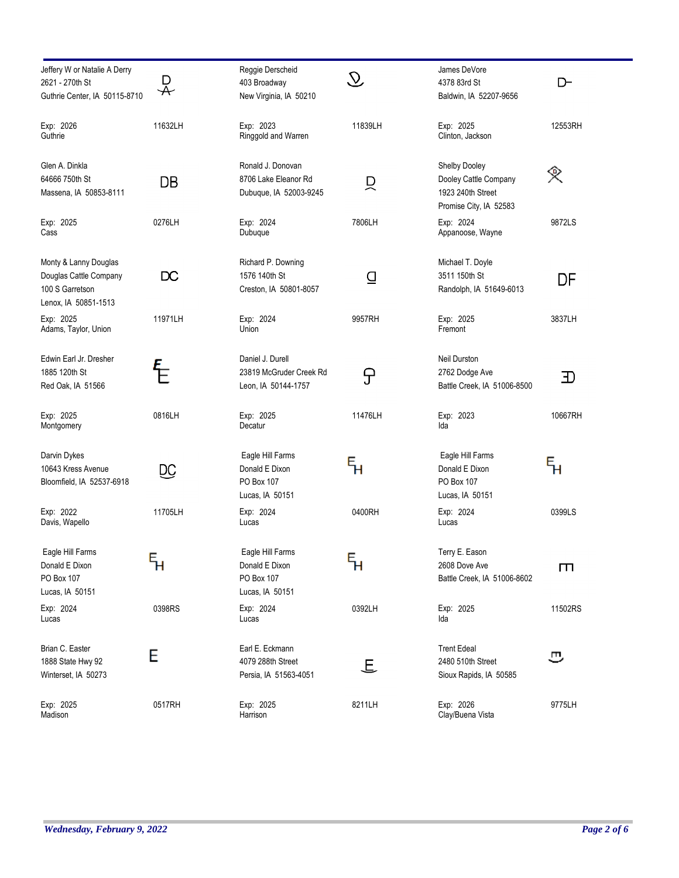| Jeffery W or Natalie A Derry<br>2621 - 270th St<br>Guthrie Center, IA 50115-8710           | D<br>$\bm{\nparallel}$      | Reggie Derscheid<br>403 Broadway<br>New Virginia, IA 50210          | $\mathcal{D}$               | James DeVore<br>4378 83rd St<br>Baldwin, IA 52207-9656                                | D-      |
|--------------------------------------------------------------------------------------------|-----------------------------|---------------------------------------------------------------------|-----------------------------|---------------------------------------------------------------------------------------|---------|
| Exp: 2026<br>Guthrie                                                                       | 11632LH                     | Exp: 2023<br>Ringgold and Warren                                    | 11839LH                     | Exp: 2025<br>Clinton, Jackson                                                         | 12553RH |
| Glen A. Dinkla<br>64666 750th St<br>Massena, IA 50853-8111                                 | DB                          | Ronald J. Donovan<br>8706 Lake Eleanor Rd<br>Dubuque, IA 52003-9245 | 只                           | Shelby Dooley<br>Dooley Cattle Company<br>1923 240th Street<br>Promise City, IA 52583 | 突       |
| Exp: 2025<br>Cass                                                                          | 0276LH                      | Exp: 2024<br>Dubuque                                                | 7806LH                      | Exp: 2024<br>Appanoose, Wayne                                                         | 9872LS  |
| Monty & Lanny Douglas<br>Douglas Cattle Company<br>100 S Garretson<br>Lenox, IA 50851-1513 | DC                          | Richard P. Downing<br>1576 140th St<br>Creston, IA 50801-8057       | ₫                           | Michael T. Doyle<br>3511 150th St<br>Randolph, IA 51649-6013                          | DF      |
| Exp: 2025<br>Adams, Taylor, Union                                                          | 11971LH                     | Exp: 2024<br>Union                                                  | 9957RH                      | Exp: 2025<br>Fremont                                                                  | 3837LH  |
| Edwin Earl Jr. Dresher<br>1885 120th St<br>Red Oak, IA 51566                               |                             | Daniel J. Durell<br>23819 McGruder Creek Rd<br>Leon, IA 50144-1757  | ᠲ                           | Neil Durston<br>2762 Dodge Ave<br>Battle Creek, IA 51006-8500                         | 卫       |
| Exp: 2025<br>Montgomery                                                                    | 0816LH                      | Exp: 2025<br>Decatur                                                | 11476LH                     | Exp: 2023<br>Ida                                                                      | 10667RH |
| Darvin Dykes<br>10643 Kress Avenue<br>Bloomfield, IA 52537-6918                            | DС                          | Eagle Hill Farms<br>Donald E Dixon<br>PO Box 107<br>Lucas, IA 50151 | ҕ                           | Eagle Hill Farms<br>Donald E Dixon<br>PO Box 107<br>Lucas, IA 50151                   | ६       |
| Exp: 2022<br>Davis, Wapello                                                                | 11705LH                     | Exp: 2024<br>Lucas                                                  | 0400RH                      | Exp: 2024<br>Lucas                                                                    | 0399LS  |
| Eagle Hill Farms<br>Donald E Dixon<br>PO Box 107<br>Lucas, IA 50151                        | $\mathsf{F}_{\!\mathsf{H}}$ | Eagle Hill Farms<br>Donald E Dixon<br>PO Box 107<br>Lucas, IA 50151 | $\mathsf{F}_{\!\mathsf{H}}$ | Terry E. Eason<br>2608 Dove Ave<br>Battle Creek, IA 51006-8602                        | Ш       |
| Exp: 2024<br>Lucas                                                                         | 0398RS                      | Exp: 2024<br>Lucas                                                  | 0392LH                      | Exp: 2025<br>Ida                                                                      | 11502RS |
| Brian C. Easter<br>1888 State Hwy 92<br>Winterset, IA 50273                                | E                           | Earl E. Eckmann<br>4079 288th Street<br>Persia, IA 51563-4051       | 上                           | <b>Trent Edeal</b><br>2480 510th Street<br>Sioux Rapids, IA 50585                     | ઝ       |
| Exp: 2025<br>Madison                                                                       | 0517RH                      | Exp: 2025<br>Harrison                                               | 8211LH                      | Exp: 2026<br>Clay/Buena Vista                                                         | 9775LH  |

÷.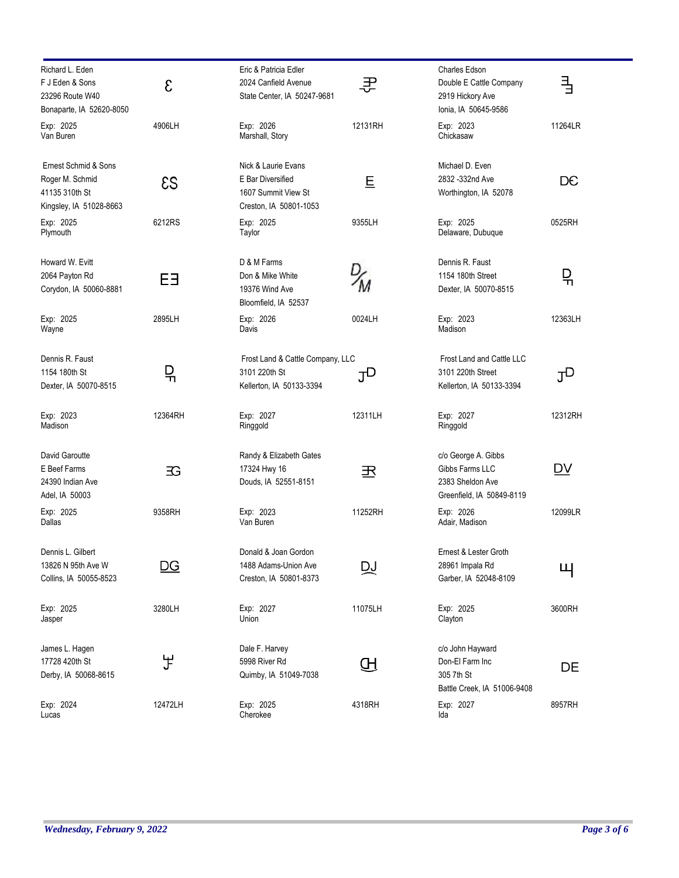| Richard L. Eden<br>F J Eden & Sons<br>23296 Route W40                                | ε              | Eric & Patricia Edler<br>2024 Canfield Avenue<br>State Center, IA 50247-9681              | 콧       | <b>Charles Edson</b><br>Double E Cattle Company<br>2919 Hickory Ave                     | 긬              |
|--------------------------------------------------------------------------------------|----------------|-------------------------------------------------------------------------------------------|---------|-----------------------------------------------------------------------------------------|----------------|
| Bonaparte, IA 52620-8050                                                             |                |                                                                                           |         | Ionia, IA 50645-9586                                                                    |                |
| Exp: 2025<br>Van Buren                                                               | 4906LH         | Exp: 2026<br>Marshall, Story                                                              | 12131RH | Exp: 2023<br>Chickasaw                                                                  | 11264LR        |
| Ernest Schmid & Sons<br>Roger M. Schmid<br>41135 310th St<br>Kingsley, IA 51028-8663 | $\mathcal{ES}$ | Nick & Laurie Evans<br>E Bar Diversified<br>1607 Summit View St<br>Creston, IA 50801-1053 | 旦       | Michael D. Even<br>2832 - 332nd Ave<br>Worthington, IA 52078                            | DC             |
| Exp: 2025<br>Plymouth                                                                | 6212RS         | Exp: 2025<br>Taylor                                                                       | 9355LH  | Exp: 2025<br>Delaware, Dubuque                                                          | 0525RH         |
| Howard W. Evitt<br>2064 Payton Rd<br>Corydon, IA 50060-8881                          | ЕЭ             | D & M Farms<br>Don & Mike White<br>19376 Wind Ave<br>Bloomfield, IA 52537                 |         | Dennis R. Faust<br>1154 180th Street<br>Dexter, IA 50070-8515                           | 믺              |
| Exp: 2025<br>Wayne                                                                   | 2895LH         | Exp: 2026<br>Davis                                                                        | 0024LH  | Exp: 2023<br>Madison                                                                    | 12363LH        |
| Dennis R. Faust<br>1154 180th St<br>Dexter, IA 50070-8515                            | 믺              | Frost Land & Cattle Company, LLC<br>3101 220th St<br>Kellerton, IA 50133-3394             | ႗ႃၪ     | Frost Land and Cattle LLC<br>3101 220th Street<br>Kellerton, IA 50133-3394              | J <sub>D</sub> |
| Exp: 2023<br>Madison                                                                 | 12364RH        | Exp: 2027<br>Ringgold                                                                     | 12311LH | Exp: 2027<br>Ringgold                                                                   | 12312RH        |
| David Garoutte<br>E Beef Farms<br>24390 Indian Ave<br>Adel, IA 50003                 | 3G             | Randy & Elizabeth Gates<br>17324 Hwy 16<br>Douds, IA 52551-8151                           | 玊       | c/o George A. Gibbs<br>Gibbs Farms LLC<br>2383 Sheldon Ave<br>Greenfield, IA 50849-8119 | D <sub>V</sub> |
| Exp: 2025<br>Dallas                                                                  | 9358RH         | Exp: 2023<br>Van Buren                                                                    | 11252RH | Exp: 2026<br>Adair, Madison                                                             | 12099LR        |
| Dennis L. Gilbert<br>13826 N 95th Ave W<br>Collins, IA 50055-8523                    | <u>DG</u>      | Donald & Joan Gordon<br>1488 Adams-Union Ave<br>Creston, IA 50801-8373                    | ₯       | Ernest & Lester Groth<br>28961 Impala Rd<br>Garber, IA 52048-8109                       | Щ              |
| Exp: 2025<br>Jasper                                                                  | 3280LH         | Exp: 2027<br>Union                                                                        | 11075LH | Exp: 2025<br>Clayton                                                                    | 3600RH         |
| James L. Hagen<br>17728 420th St<br>Derby, IA 50068-8615                             | ቻ              | Dale F. Harvey<br>5998 River Rd<br>Quimby, IA 51049-7038                                  | Æ       | c/o John Hayward<br>Don-El Farm Inc<br>305 7th St<br>Battle Creek, IA 51006-9408        | DE             |
| Exp: 2024<br>Lucas                                                                   | 12472LH        | Exp: 2025<br>Cherokee                                                                     | 4318RH  | Exp: 2027<br>Ida                                                                        | 8957RH         |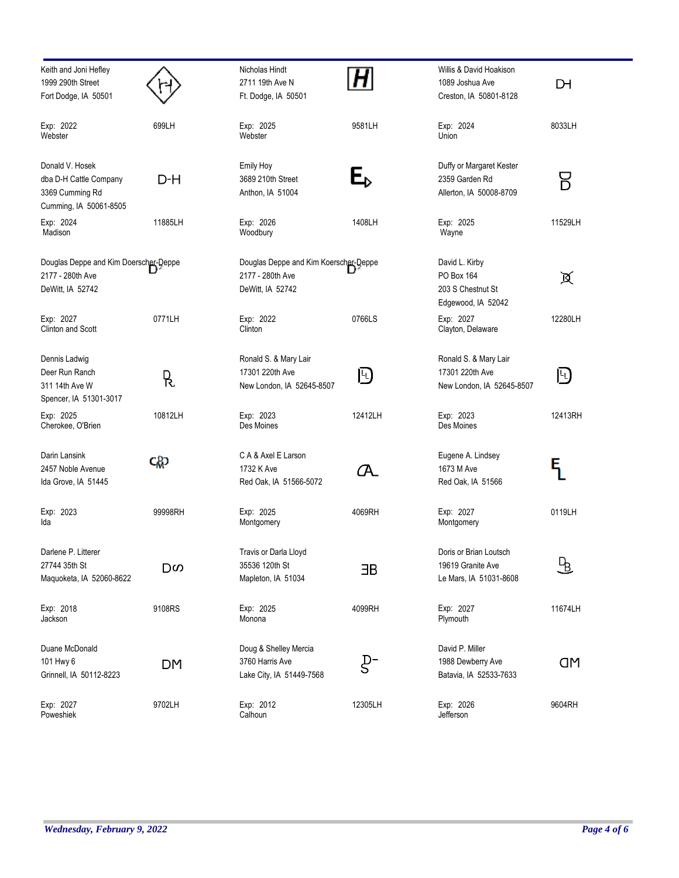| Keith and Joni Hefley<br>1999 290th Street<br>Fort Dodge, IA 50501                     |         | Nicholas Hindt<br>2711 19th Ave N<br>Ft. Dodge, IA 50501                      |         | Willis & David Hoakison<br>1089 Joshua Ave<br>Creston, IA 50801-8128    | DН        |
|----------------------------------------------------------------------------------------|---------|-------------------------------------------------------------------------------|---------|-------------------------------------------------------------------------|-----------|
| Exp: 2022<br>Webster                                                                   | 699LH   | Exp: 2025<br>Webster                                                          | 9581LH  | Exp: 2024<br>Union                                                      | 8033LH    |
| Donald V. Hosek<br>dba D-H Cattle Company<br>3369 Cumming Rd<br>Cumming, IA 50061-8505 | D-H     | Emily Hoy<br>3689 210th Street<br>Anthon, IA 51004                            | E,      | Duffy or Margaret Kester<br>2359 Garden Rd<br>Allerton, IA 50008-8709   | Β         |
| Exp: 2024<br>Madison                                                                   | 11885LH | Exp: 2026<br>Woodbury                                                         | 1408LH  | Exp: 2025<br>Wayne                                                      | 11529LH   |
| Douglas Deppe and Kim Doerscher-Deppe<br>2177 - 280th Ave<br>DeWitt, IA 52742          |         | Douglas Deppe and Kim Koerscher-Deppe<br>2177 - 280th Ave<br>DeWitt, IA 52742 |         | David L. Kirby<br>PO Box 164<br>203 S Chestnut St<br>Edgewood, IA 52042 | 页         |
| Exp: 2027<br>Clinton and Scott                                                         | 0771LH  | Exp: 2022<br>Clinton                                                          | 0766LS  | Exp: 2027<br>Clayton, Delaware                                          | 12280LH   |
| Dennis Ladwig<br>Deer Run Ranch<br>311 14th Ave W<br>Spencer, IA 51301-3017            | R.      | Ronald S. & Mary Lair<br>17301 220th Ave<br>New London, IA 52645-8507         | 凹       | Ronald S. & Mary Lair<br>17301 220th Ave<br>New London, IA 52645-8507   | 凹         |
| Exp: 2025<br>Cherokee, O'Brien                                                         | 10812LH | Exp: 2023<br>Des Moines                                                       | 12412LH | Exp: 2023<br>Des Moines                                                 | 12413RH   |
| Darin Lansink<br>2457 Noble Avenue<br>Ida Grove, IA 51445                              | ςŖ      | C A & Axel E Larson<br>1732 K Ave<br>Red Oak, IA 51566-5072                   | (A      | Eugene A. Lindsey<br>1673 M Ave<br>Red Oak, IA 51566                    | Ę         |
| Exp: 2023<br>Ida                                                                       | 99998RH | Exp: 2025<br>Montgomery                                                       | 4069RH  | Exp: 2027<br>Montgomery                                                 | 0119LH    |
| Darlene P. Litterer<br>27744 35th St<br>Maquoketa, IA 52060-8622                       | Dω      | Travis or Darla Lloyd<br>35536 120th St<br>Mapleton, IA 51034                 | ЭB      | Doris or Brian Loutsch<br>19619 Granite Ave<br>Le Mars, IA 51031-8608   | ΨΒ        |
| Exp: 2018<br>Jackson                                                                   | 9108RS  | Exp: 2025<br>Monona                                                           | 4099RH  | Exp: 2027<br>Plymouth                                                   | 11674LH   |
| Duane McDonald<br>101 Hwy 6<br>Grinnell, IA 50112-8223                                 | DM      | Doug & Shelley Mercia<br>3760 Harris Ave<br>Lake City, IA 51449-7568          | $g$ -   | David P. Miller<br>1988 Dewberry Ave<br>Batavia, IA 52533-7633          | <b>CM</b> |
| Exp: 2027<br>Poweshiek                                                                 | 9702LH  | Exp: 2012<br>Calhoun                                                          | 12305LH | Exp: 2026<br>Jefferson                                                  | 9604RH    |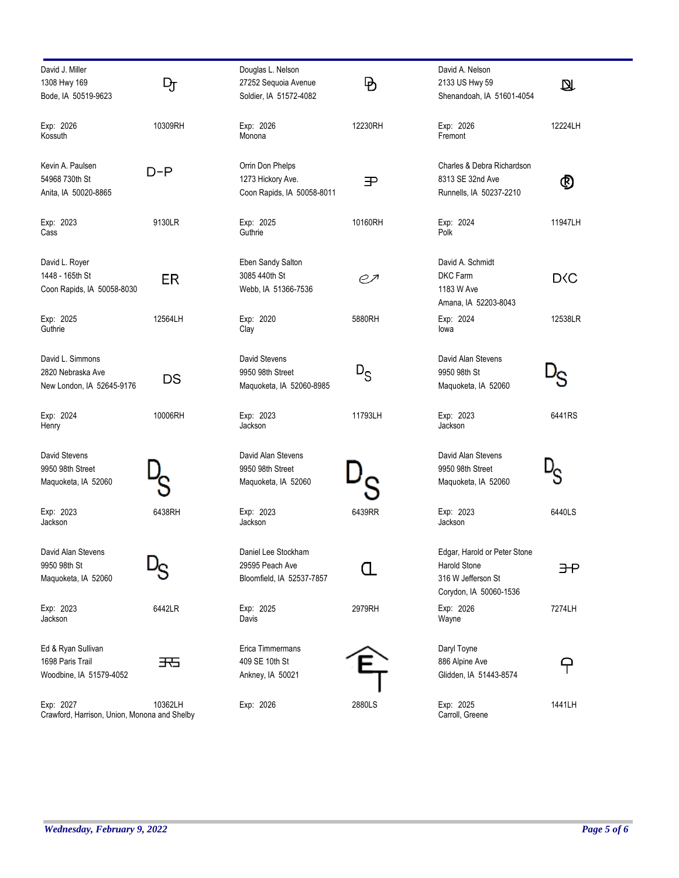| David J. Miller                                           |         | Douglas L. Nelson          |             | David A. Nelson              |                  |
|-----------------------------------------------------------|---------|----------------------------|-------------|------------------------------|------------------|
| 1308 Hwy 169                                              | Ŋт      | 27252 Sequoia Avenue       | $\mathsf B$ | 2133 US Hwy 59               | Ø                |
| Bode, IA 50519-9623                                       |         | Soldier, IA 51572-4082     |             | Shenandoah, IA 51601-4054    |                  |
| Exp: 2026                                                 | 10309RH | Exp: 2026                  | 12230RH     | Exp: 2026                    | 12224LH          |
| Kossuth                                                   |         | Monona                     |             | Fremont                      |                  |
| Kevin A. Paulsen                                          |         | Orrin Don Phelps           |             | Charles & Debra Richardson   |                  |
| 54968 730th St                                            | $D-P$   | 1273 Hickory Ave.          | 王           | 8313 SE 32nd Ave             |                  |
| Anita, IA 50020-8865                                      |         | Coon Rapids, IA 50058-8011 |             | Runnells, IA 50237-2210      | ℗                |
|                                                           |         |                            |             |                              |                  |
| Exp: 2023                                                 | 9130LR  | Exp: 2025                  | 10160RH     | Exp: 2024                    | 11947LH          |
| Cass                                                      |         | Guthrie                    |             | Polk                         |                  |
| David L. Royer                                            |         | Eben Sandy Salton          |             | David A. Schmidt             |                  |
| 1448 - 165th St                                           | ER.     | 3085 440th St              | eл          | DKC Farm                     | D <sub>S</sub> C |
| Coon Rapids, IA 50058-8030                                |         | Webb, IA 51366-7536        |             | 1183 W Ave                   |                  |
|                                                           |         |                            |             | Amana, IA 52203-8043         |                  |
| Exp: 2025                                                 | 12564LH | Exp: 2020                  | 5880RH      | Exp: 2024                    | 12538LR          |
| Guthrie                                                   |         | Clay                       |             | lowa                         |                  |
| David L. Simmons                                          |         | David Stevens              |             | David Alan Stevens           |                  |
| 2820 Nebraska Ave                                         | DS      | 9950 98th Street           | $D_S$       | 9950 98th St                 |                  |
| New London, IA 52645-9176                                 |         | Maquoketa, IA 52060-8985   |             | Maquoketa, IA 52060          |                  |
| Exp: 2024                                                 | 10006RH | Exp: 2023                  | 11793LH     | Exp: 2023                    | 6441RS           |
| Henry                                                     |         | Jackson                    |             | Jackson                      |                  |
| David Stevens                                             |         | David Alan Stevens         |             | David Alan Stevens           |                  |
| 9950 98th Street                                          |         | 9950 98th Street           |             | 9950 98th Street             |                  |
| Maquoketa, IA 52060                                       |         | Maquoketa, IA 52060        |             | Maguoketa, IA 52060          |                  |
|                                                           |         |                            |             |                              |                  |
| Exp: 2023                                                 | 6438RH  | Exp: 2023                  | 6439RR      | Exp: 2023                    | 6440LS           |
| Jackson                                                   |         | Jackson                    |             | Jackson                      |                  |
| David Alan Stevens                                        |         | Daniel Lee Stockham        |             | Edgar, Harold or Peter Stone |                  |
| 9950 98th St                                              |         | 29595 Peach Ave            |             | <b>Harold Stone</b>          | ЭŦ               |
| Maquoketa, IA 52060                                       |         | Bloomfield, IA 52537-7857  |             | 316 W Jefferson St           |                  |
|                                                           |         |                            |             | Corydon, IA 50060-1536       |                  |
| Exp: 2023                                                 | 6442LR  | Exp: 2025                  | 2979RH      | Exp: 2026                    | 7274LH           |
| Jackson                                                   |         | Davis                      |             | Wayne                        |                  |
| Ed & Ryan Sullivan                                        |         | Erica Timmermans           |             | Daryl Toyne                  |                  |
| 1698 Paris Trail                                          | 天       | 409 SE 10th St             |             | 886 Alpine Ave               | P                |
| Woodbine, IA 51579-4052                                   |         | Ankney, IA 50021           |             | Glidden, IA 51443-8574       |                  |
|                                                           |         |                            |             |                              |                  |
| Exp: 2027<br>Crawford, Harrison, Union, Monona and Shelby | 10362LH | Exp: 2026                  | 2880LS      | Exp: 2025<br>Carroll, Greene | 1441LH           |